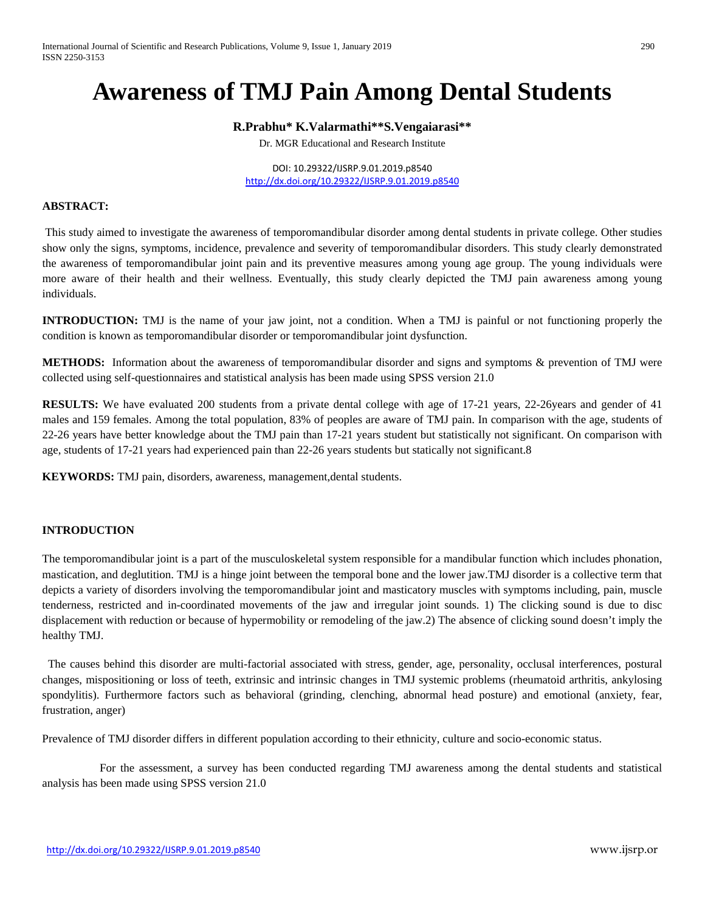# **Awareness of TMJ Pain Among Dental Students**

## **R.Prabhu\* K.Valarmathi\*\*S.Vengaiarasi\*\***

Dr. MGR Educational and Research Institute

DOI: 10.29322/IJSRP.9.01.2019.p8540 <http://dx.doi.org/10.29322/IJSRP.9.01.2019.p8540>

#### **ABSTRACT:**

This study aimed to investigate the awareness of temporomandibular disorder among dental students in private college. Other studies show only the signs, symptoms, incidence, prevalence and severity of temporomandibular disorders. This study clearly demonstrated the awareness of temporomandibular joint pain and its preventive measures among young age group. The young individuals were more aware of their health and their wellness. Eventually, this study clearly depicted the TMJ pain awareness among young individuals.

**INTRODUCTION:** TMJ is the name of your jaw joint, not a condition. When a TMJ is painful or not functioning properly the condition is known as temporomandibular disorder or temporomandibular joint dysfunction.

**METHODS:** Information about the awareness of temporomandibular disorder and signs and symptoms & prevention of TMJ were collected using self-questionnaires and statistical analysis has been made using SPSS version 21.0

**RESULTS:** We have evaluated 200 students from a private dental college with age of 17-21 years, 22-26years and gender of 41 males and 159 females. Among the total population, 83% of peoples are aware of TMJ pain. In comparison with the age, students of 22-26 years have better knowledge about the TMJ pain than 17-21 years student but statistically not significant. On comparison with age, students of 17-21 years had experienced pain than 22-26 years students but statically not significant.8

**KEYWORDS:** TMJ pain, disorders, awareness, management,dental students.

## **INTRODUCTION**

The temporomandibular joint is a part of the musculoskeletal system responsible for a mandibular function which includes phonation, mastication, and deglutition. TMJ is a hinge joint between the temporal bone and the lower jaw.TMJ disorder is a collective term that depicts a variety of disorders involving the temporomandibular joint and masticatory muscles with symptoms including, pain, muscle tenderness, restricted and in-coordinated movements of the jaw and irregular joint sounds. 1) The clicking sound is due to disc displacement with reduction or because of hypermobility or remodeling of the jaw.2) The absence of clicking sound doesn't imply the healthy TMJ.

 The causes behind this disorder are multi-factorial associated with stress, gender, age, personality, occlusal interferences, postural changes, mispositioning or loss of teeth, extrinsic and intrinsic changes in TMJ systemic problems (rheumatoid arthritis, ankylosing spondylitis). Furthermore factors such as behavioral (grinding, clenching, abnormal head posture) and emotional (anxiety, fear, frustration, anger)

Prevalence of TMJ disorder differs in different population according to their ethnicity, culture and socio-economic status.

 For the assessment, a survey has been conducted regarding TMJ awareness among the dental students and statistical analysis has been made using SPSS version 21.0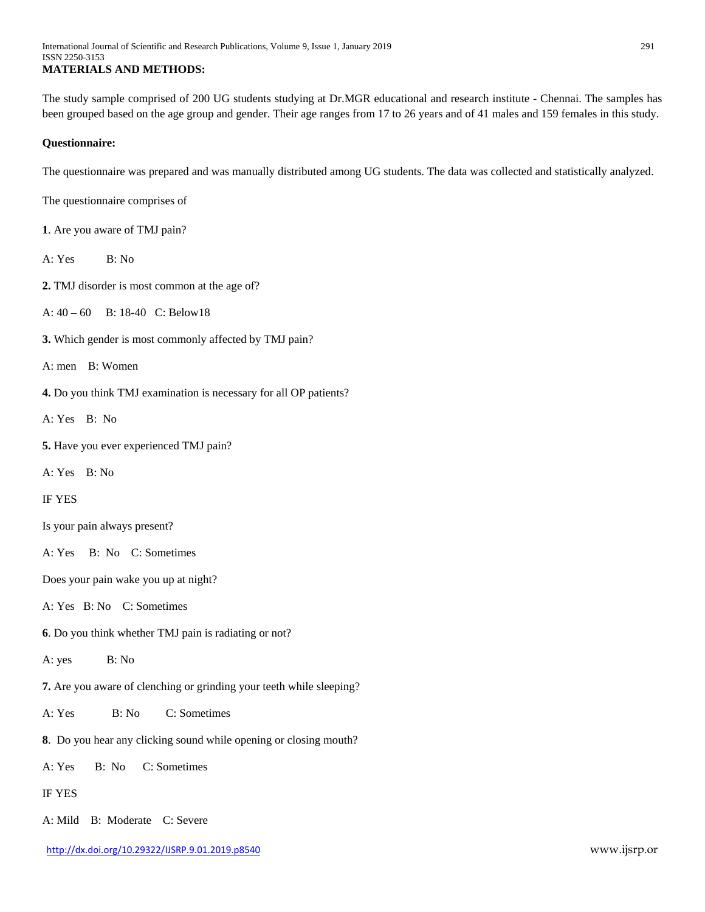The study sample comprised of 200 UG students studying at Dr.MGR educational and research institute - Chennai. The samples has been grouped based on the age group and gender. Their age ranges from 17 to 26 years and of 41 males and 159 females in this study.

#### **Questionnaire:**

The questionnaire was prepared and was manually distributed among UG students. The data was collected and statistically analyzed.

The questionnaire comprises of

- **1**. Are you aware of TMJ pain?
- A: Yes B: No
- **2.** TMJ disorder is most common at the age of?

A: 40 – 60 B: 18-40 C: Below18

- **3.** Which gender is most commonly affected by TMJ pain?
- A: men B: Women
- **4.** Do you think TMJ examination is necessary for all OP patients?
- A: Yes B: No
- **5.** Have you ever experienced TMJ pain?
- A: Yes B: No

IF YES

- Is your pain always present?
- A: Yes B: No C: Sometimes

Does your pain wake you up at night?

## A: Yes B: No C: Sometimes

- **6**. Do you think whether TMJ pain is radiating or not?
- A: yes B: No
- **7.** Are you aware of clenching or grinding your teeth while sleeping?
- A: Yes B: No C: Sometimes
- **8**. Do you hear any clicking sound while opening or closing mouth?
- A: Yes B: No C: Sometimes
- IF YES
- A: Mild B: Moderate C: Severe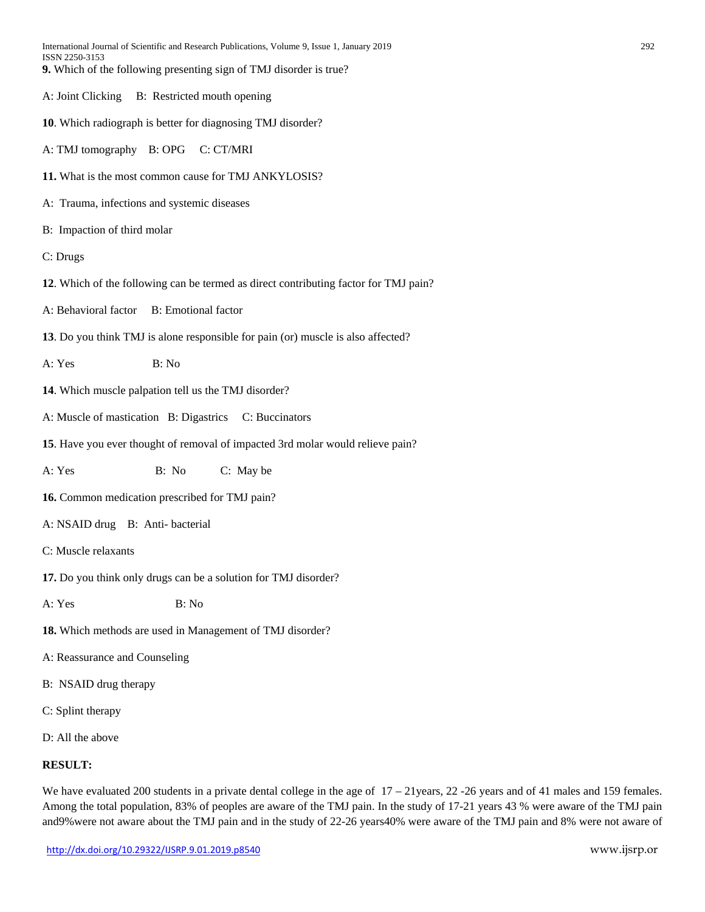| International Journal of Scientific and Research Publications, Volume 9, Issue 1, January 2019<br>ISSN 2250-3153 | 292 |
|------------------------------------------------------------------------------------------------------------------|-----|
| 9. Which of the following presenting sign of TMJ disorder is true?                                               |     |
| B: Restricted mouth opening<br>A: Joint Clicking                                                                 |     |
| 10. Which radiograph is better for diagnosing TMJ disorder?                                                      |     |
| A: TMJ tomography B: OPG C: CT/MRI                                                                               |     |
| 11. What is the most common cause for TMJ ANKYLOSIS?                                                             |     |
| A: Trauma, infections and systemic diseases                                                                      |     |
| B: Impaction of third molar                                                                                      |     |
| C: Drugs                                                                                                         |     |
| 12. Which of the following can be termed as direct contributing factor for TMJ pain?                             |     |
| <b>B</b> : Emotional factor<br>A: Behavioral factor                                                              |     |
| 13. Do you think TMJ is alone responsible for pain (or) muscle is also affected?                                 |     |
| B: No<br>A: Yes                                                                                                  |     |
| 14. Which muscle palpation tell us the TMJ disorder?                                                             |     |
| A: Muscle of mastication B: Digastrics C: Buccinators                                                            |     |
| 15. Have you ever thought of removal of impacted 3rd molar would relieve pain?                                   |     |
| A: Yes<br>B: No<br>C: May be                                                                                     |     |
| 16. Common medication prescribed for TMJ pain?                                                                   |     |
| A: NSAID drug B: Anti-bacterial                                                                                  |     |
| C: Muscle relaxants                                                                                              |     |
| 17. Do you think only drugs can be a solution for TMJ disorder?                                                  |     |
| B: No<br>A: Yes                                                                                                  |     |
| 18. Which methods are used in Management of TMJ disorder?                                                        |     |
| A: Reassurance and Counseling                                                                                    |     |
| B: NSAID drug therapy                                                                                            |     |
| C: Splint therapy                                                                                                |     |
| D: All the above                                                                                                 |     |
| <b>RESULT:</b>                                                                                                   |     |

We have evaluated 200 students in a private dental college in the age of  $17 - 21$ years, 22-26 years and of 41 males and 159 females. Among the total population, 83% of peoples are aware of the TMJ pain. In the study of 17-21 years 43 % were aware of the TMJ pain and9%were not aware about the TMJ pain and in the study of 22-26 years40% were aware of the TMJ pain and 8% were not aware of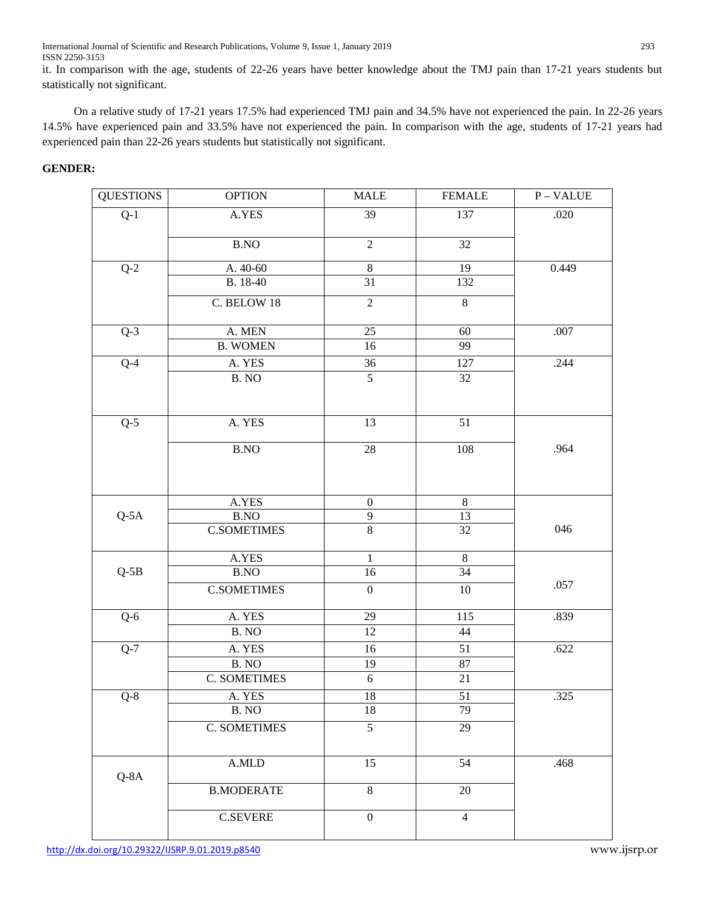International Journal of Scientific and Research Publications, Volume 9, Issue 1, January 2019 293 ISSN 2250-3153

it. In comparison with the age, students of 22-26 years have better knowledge about the TMJ pain than 17-21 years students but statistically not significant.

 On a relative study of 17-21 years 17.5% had experienced TMJ pain and 34.5% have not experienced the pain. In 22-26 years 14.5% have experienced pain and 33.5% have not experienced the pain. In comparison with the age, students of 17-21 years had experienced pain than 22-26 years students but statistically not significant.

## **GENDER:**

| <b>QUESTIONS</b> | <b>OPTION</b>         | <b>MALE</b>      | <b>FEMALE</b>   | $\overline{P}$ – VALUE |
|------------------|-----------------------|------------------|-----------------|------------------------|
| $Q-1$            | A.YES                 | 39               | 137             | .020                   |
|                  |                       |                  |                 |                        |
|                  | <b>B.NO</b>           | $\sqrt{2}$       | 32              |                        |
| $Q-2$            | A. 40-60              | $\,8\,$          | 19              | 0.449                  |
|                  | B. 18-40              | 31               | 132             |                        |
|                  | C. BELOW 18           | $\overline{2}$   | $8\,$           |                        |
| $\overline{Q-3}$ | A. MEN                | 25               | 60              | .007                   |
|                  | <b>B. WOMEN</b>       | 16               | 99              |                        |
| $Q-4$            | A. YES                | 36               | 127             | .244                   |
|                  | B. NO                 | $\overline{5}$   | 32              |                        |
|                  |                       |                  |                 |                        |
| $Q-5$            | A. YES                | 13               | $\overline{51}$ |                        |
|                  | <b>B.NO</b>           | 28               | 108             | .964                   |
|                  |                       |                  |                 |                        |
|                  |                       |                  |                 |                        |
|                  | A.YES                 | $\boldsymbol{0}$ | $\,8\,$         |                        |
| $Q-5A$           | <b>B.NO</b>           | 9                | 13              |                        |
|                  | <b>C.SOMETIMES</b>    | $\overline{8}$   | 32              | 046                    |
|                  | A.YES                 | $\mathbf{1}$     | $\,8\,$         |                        |
| $Q-5B$           | $\operatorname{B.NO}$ | 16               | $\overline{34}$ |                        |
|                  | <b>C.SOMETIMES</b>    | $\boldsymbol{0}$ | $10\,$          | .057                   |
| $Q-6$            | A. YES                | 29               | 115             | .839                   |
|                  | B. NO                 | 12               | 44              |                        |
| $Q-7$            | A. YES                | 16               | 51              | .622                   |
|                  | B. NO                 | 19               | $87\,$          |                        |
|                  | <b>C. SOMETIMES</b>   | $\sqrt{6}$       | 21              |                        |
| $Q-8$            | A. YES                | 18               | 51              | .325                   |
|                  | B. NO                 | 18               | 79              |                        |
|                  | <b>C. SOMETIMES</b>   | $\overline{5}$   | 29              |                        |
|                  |                       |                  |                 |                        |
| $Q - 8A$         | A.MLD                 | 15               | 54              | .468                   |
|                  | <b>B.MODERATE</b>     | $\overline{8}$   | 20              |                        |
|                  |                       |                  |                 |                        |
|                  | $\mbox{C.SEVERE}$     | $\boldsymbol{0}$ | $\overline{4}$  |                        |
|                  |                       |                  |                 |                        |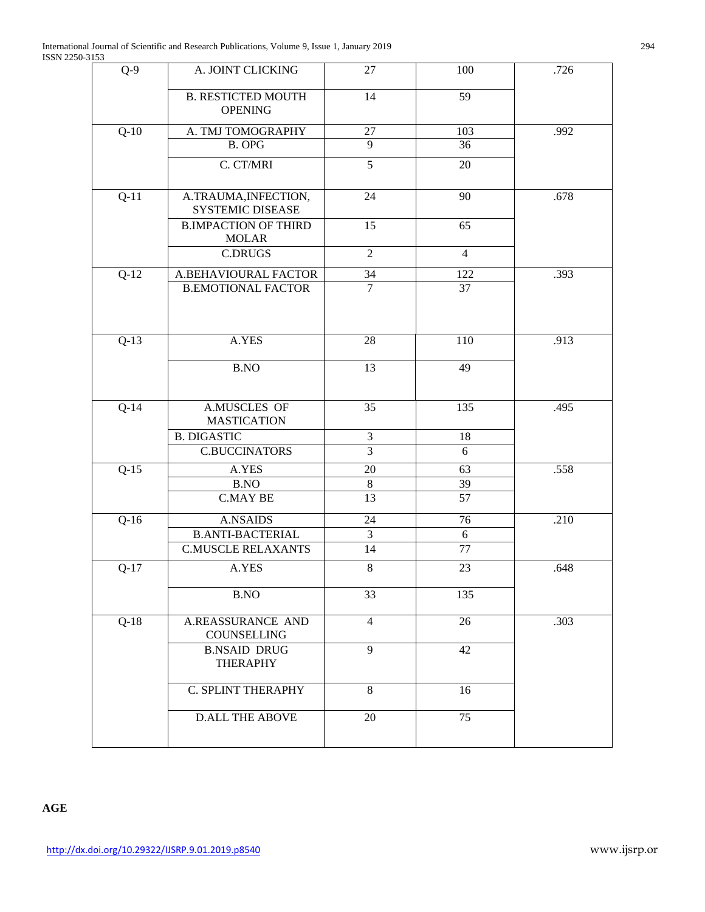| $Q-9$  | A. JOINT CLICKING                               | 27             | 100             | .726 |
|--------|-------------------------------------------------|----------------|-----------------|------|
|        | <b>B. RESTICTED MOUTH</b><br><b>OPENING</b>     | 14             | 59              |      |
| $Q-10$ | A. TMJ TOMOGRAPHY                               | $27\,$         | 103             | .992 |
|        | <b>B. OPG</b>                                   | $\overline{9}$ | 36              |      |
|        | C. CT/MRI                                       | $\overline{5}$ | 20              |      |
| $Q-11$ | A.TRAUMA, INFECTION,<br><b>SYSTEMIC DISEASE</b> | 24             | 90              | .678 |
|        | <b>B.IMPACTION OF THIRD</b><br><b>MOLAR</b>     | 15             | 65              |      |
|        | <b>C.DRUGS</b>                                  | $\overline{2}$ | $\overline{4}$  |      |
| $Q-12$ | A.BEHAVIOURAL FACTOR                            | 34             | 122             | .393 |
|        | <b>B.EMOTIONAL FACTOR</b>                       | $\overline{7}$ | $\overline{37}$ |      |
| $Q-13$ | A.YES                                           | 28             | 110             | .913 |
|        | B.NO                                            | 13             | 49              |      |
| $Q-14$ | A.MUSCLES OF<br><b>MASTICATION</b>              | 35             | 135             | .495 |
|        | <b>B. DIGASTIC</b>                              | $\mathfrak{Z}$ | 18              |      |
|        | <b>C.BUCCINATORS</b>                            | $\overline{3}$ | 6               |      |
| $Q-15$ | A.YES                                           | 20             | 63              | .558 |
|        | B.NO                                            | $\,8\,$        | 39              |      |
|        | <b>C.MAY BE</b>                                 | 13             | 57              |      |
| $Q-16$ | <b>A.NSAIDS</b>                                 | 24             | 76              | .210 |
|        | <b>B.ANTI-BACTERIAL</b>                         | $\mathfrak{Z}$ | 6               |      |
|        | <b>C.MUSCLE RELAXANTS</b>                       | 14             | 77              |      |
| $Q-17$ | A.YES                                           | $\,8\,$        | 23              | .648 |
|        | <b>B.NO</b>                                     | 33             | 135             |      |
| $Q-18$ | A.REASSURANCE AND<br>COUNSELLING                | $\overline{4}$ | 26              | .303 |
|        | <b>B.NSAID DRUG</b><br><b>THERAPHY</b>          | 9              | 42              |      |
|        | C. SPLINT THERAPHY                              | 8              | 16              |      |
|        | <b>D.ALL THE ABOVE</b>                          | 20             | 75              |      |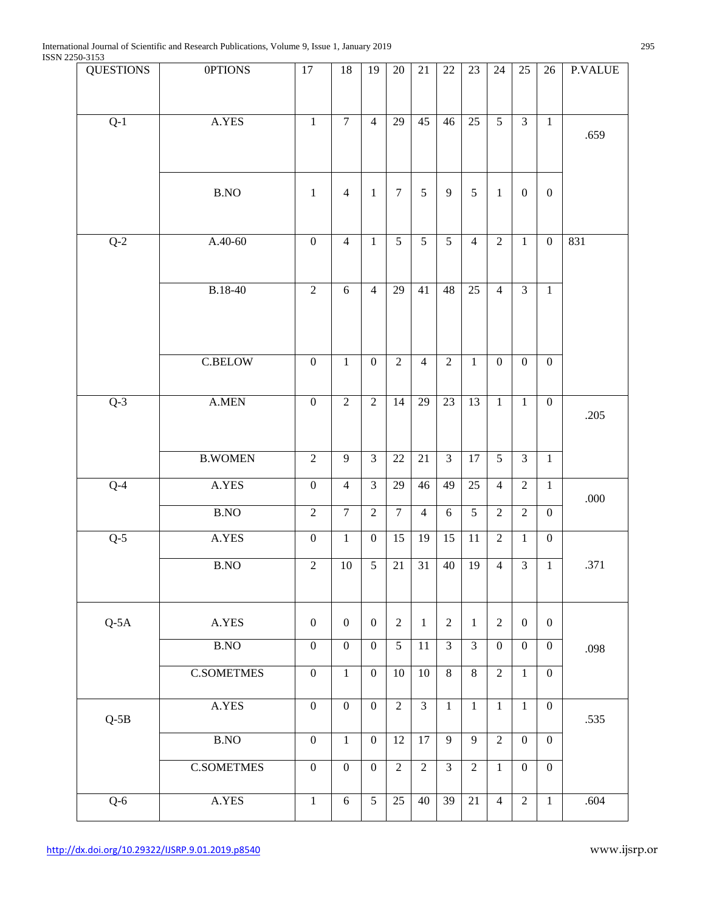| 200-0100<br><b>QUESTIONS</b> | <b>OPTIONS</b>                              | $17\,$           | 18               | 19               | 20             | 21              | $22\,$          | 23              | 24               | 25               | 26               | <b>P.VALUE</b> |
|------------------------------|---------------------------------------------|------------------|------------------|------------------|----------------|-----------------|-----------------|-----------------|------------------|------------------|------------------|----------------|
|                              |                                             |                  |                  |                  |                |                 |                 |                 |                  |                  |                  |                |
|                              |                                             |                  | $\overline{7}$   | $\overline{4}$   |                | 45              |                 |                 | 5                | $\overline{3}$   |                  |                |
| $Q-1$                        | A.YES                                       | $\mathbf 1$      |                  |                  | 29             |                 | 46              | 25              |                  |                  | $\mathbf{1}$     | .659           |
|                              |                                             |                  |                  |                  |                |                 |                 |                 |                  |                  |                  |                |
|                              |                                             |                  |                  |                  |                |                 |                 |                 |                  |                  |                  |                |
|                              | $\operatorname{B.NO}$                       | $\mathbf{1}$     | $\overline{4}$   | $\mathbf{1}$     | $\tau$         | 5               | $\overline{9}$  | 5               | $\mathbf{1}$     | $\mathbf{0}$     | $\boldsymbol{0}$ |                |
|                              |                                             |                  |                  |                  |                |                 |                 |                 |                  |                  |                  |                |
| $Q-2$                        | $A.40-60$                                   | $\boldsymbol{0}$ | $\overline{4}$   | $\mathbf{1}$     | 5 <sup>5</sup> | 5               | $\overline{5}$  | $\overline{4}$  | $\overline{2}$   | $\mathbf{1}$     | $\mathbf{0}$     | 831            |
|                              |                                             |                  |                  |                  |                |                 |                 |                 |                  |                  |                  |                |
|                              |                                             |                  |                  |                  |                |                 |                 |                 |                  |                  |                  |                |
|                              | B.18-40                                     | $\overline{2}$   | 6                | $\overline{4}$   | 29             | 41              | 48              | 25              | $\overline{4}$   | $\overline{3}$   | $\mathbf{1}$     |                |
|                              |                                             |                  |                  |                  |                |                 |                 |                 |                  |                  |                  |                |
|                              |                                             |                  |                  |                  |                |                 |                 |                 |                  |                  |                  |                |
|                              | <b>C.BELOW</b>                              | $\boldsymbol{0}$ | $\mathbf{1}$     | $\boldsymbol{0}$ | $\overline{2}$ | $\overline{4}$  | $\sqrt{2}$      | $1\,$           | $\boldsymbol{0}$ | $\boldsymbol{0}$ | $\overline{0}$   |                |
|                              |                                             |                  |                  |                  |                |                 |                 |                 |                  |                  |                  |                |
| $Q-3$                        | $\mathbf{A}.\mathbf{M}\mathbf{E}\mathbf{N}$ | $\boldsymbol{0}$ | $\overline{2}$   | $\overline{2}$   | 14             | 29              | $\overline{23}$ | $\overline{13}$ | $\mathbf{1}$     | $\mathbf{1}$     | $\boldsymbol{0}$ |                |
|                              |                                             |                  |                  |                  |                |                 |                 |                 |                  |                  |                  | .205           |
|                              |                                             |                  |                  |                  |                |                 |                 |                 |                  |                  |                  |                |
|                              | <b>B.WOMEN</b>                              | $\overline{2}$   | $\overline{9}$   | $\overline{3}$   | 22             | 21              | $\overline{3}$  | $\overline{17}$ | $\overline{5}$   | $\overline{3}$   | $\mathbf{1}$     |                |
| $Q-4$                        | A.YES                                       | $\boldsymbol{0}$ | $\overline{4}$   | $\overline{3}$   | 29             | 46              | 49              | 25              | $\overline{4}$   | $\sqrt{2}$       | $1\,$            |                |
|                              | B.NO                                        | $\overline{2}$   | $\overline{7}$   | $\overline{2}$   | $\overline{7}$ | $\overline{4}$  | $6\,$           | $\overline{5}$  | $\overline{2}$   | $\overline{2}$   | $\overline{0}$   | .000           |
|                              |                                             |                  |                  |                  |                |                 |                 |                 | $\overline{2}$   |                  |                  |                |
| $Q-5$                        | A.YES                                       | $\boldsymbol{0}$ | $\mathbf{1}$     | $\boldsymbol{0}$ | 15             | 19              | 15              | 11              |                  | $\mathbf{1}$     | $\overline{0}$   |                |
|                              | B.NO                                        | $\overline{2}$   | $10\,$           | $\overline{5}$   | 21             | 31              | 40              | 19              | $\overline{4}$   | $\overline{3}$   | $\mathbf{1}$     | .371           |
|                              |                                             |                  |                  |                  |                |                 |                 |                 |                  |                  |                  |                |
|                              | A.YES                                       |                  | $\mathbf{0}$     | $\boldsymbol{0}$ | $\overline{2}$ |                 |                 |                 |                  | $\mathbf{0}$     |                  |                |
| $Q-5A$                       |                                             | $\boldsymbol{0}$ |                  |                  |                | $\mathbf{1}$    | $\sqrt{2}$      | 1               | $\sqrt{2}$       |                  | $\overline{0}$   |                |
|                              | B.NO                                        | $\boldsymbol{0}$ | $\boldsymbol{0}$ | $\boldsymbol{0}$ | 5              | 11              | 3               | $\overline{3}$  | $\boldsymbol{0}$ | $\boldsymbol{0}$ | $\boldsymbol{0}$ | .098           |
|                              | <b>C.SOMETMES</b>                           | $\overline{0}$   | $\overline{1}$   | $\boldsymbol{0}$ | $10\,$         | $\overline{10}$ | $\overline{8}$  | $\overline{8}$  | $\overline{2}$   | $\mathbf{1}$     | $\boldsymbol{0}$ |                |
|                              |                                             | $\boldsymbol{0}$ | $\boldsymbol{0}$ | $\boldsymbol{0}$ | $\overline{2}$ | $\overline{3}$  |                 | $\mathbf{1}$    | $\mathbf{1}$     | $\mathbf{1}$     |                  |                |
| $Q-5B$                       | A.YES                                       |                  |                  |                  |                |                 | $\mathbf{1}$    |                 |                  |                  | $\overline{0}$   | .535           |
|                              | $\operatorname{B.NO}$                       | $\boldsymbol{0}$ | $\mathbf{1}$     | $\boldsymbol{0}$ | 12             | 17              | 9               | 9               | $\overline{2}$   | $\mathbf{0}$     | $\mathbf{0}$     |                |
|                              | <b>C.SOMETMES</b>                           | $\boldsymbol{0}$ | $\boldsymbol{0}$ | $\boldsymbol{0}$ | $\overline{2}$ | $\sqrt{2}$      | 3               | $\sqrt{2}$      | $\mathbf{1}$     | $\boldsymbol{0}$ | $\mathbf{0}$     |                |
|                              |                                             |                  |                  |                  |                |                 |                 |                 |                  |                  |                  |                |
| $Q-6$                        | A.YES                                       | $\,1$            | $\sqrt{6}$       | $\overline{5}$   | 25             | 40              | 39              | $21\,$          | $\overline{4}$   | $\sqrt{2}$       | $\mathbf{1}$     | .604           |
|                              |                                             |                  |                  |                  |                |                 |                 |                 |                  |                  |                  |                |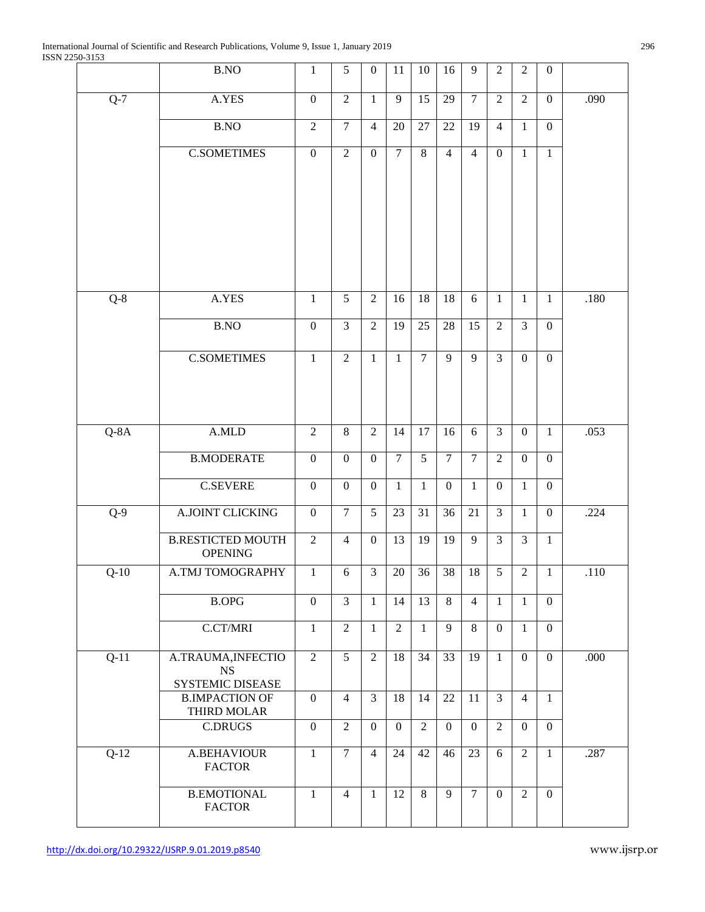|         | B.NO                                       | $\mathbf{1}$     | 5                | $\boldsymbol{0}$ | 11               | 10             | 16               | 9              | $\overline{2}$   | $\overline{2}$   | $\boldsymbol{0}$ |        |
|---------|--------------------------------------------|------------------|------------------|------------------|------------------|----------------|------------------|----------------|------------------|------------------|------------------|--------|
| $Q-7$   | A.YES                                      | $\boldsymbol{0}$ | $\overline{2}$   | $\mathbf{1}$     | 9                | 15             | 29               | $\tau$         | $\overline{2}$   | $\overline{2}$   | $\boldsymbol{0}$ | .090   |
|         | B.NO                                       | $\sqrt{2}$       | $\overline{7}$   | $\overline{4}$   | 20               | $27\,$         | 22               | 19             | $\overline{4}$   | $\mathbf{1}$     | $\boldsymbol{0}$ |        |
|         | <b>C.SOMETIMES</b>                         | $\boldsymbol{0}$ | $\overline{2}$   | $\boldsymbol{0}$ | $\tau$           | 8              | $\overline{4}$   | $\overline{4}$ | $\overline{0}$   | $\mathbf{1}$     | $\mathbf{1}$     |        |
|         |                                            |                  |                  |                  |                  |                |                  |                |                  |                  |                  |        |
|         |                                            |                  |                  |                  |                  |                |                  |                |                  |                  |                  |        |
|         |                                            |                  |                  |                  |                  |                |                  |                |                  |                  |                  |        |
|         |                                            |                  |                  |                  |                  |                |                  |                |                  |                  |                  |        |
|         |                                            |                  |                  |                  |                  |                |                  |                |                  |                  |                  |        |
| $Q-8$   | A.YES                                      | $\mathbf{1}$     | 5                | $\overline{2}$   | 16               | 18             | 18               | 6              | $\mathbf{1}$     | $\mathbf{1}$     | $\mathbf{1}$     | .180   |
|         | B.NO                                       | $\boldsymbol{0}$ | $\overline{3}$   | $\overline{2}$   | 19               | 25             | 28               | 15             | $\overline{2}$   | $\mathfrak{Z}$   | $\boldsymbol{0}$ |        |
|         | <b>C.SOMETIMES</b>                         | $\mathbf{1}$     | $\overline{2}$   | $\mathbf{1}$     | 1                | $\overline{7}$ | 9                | 9              | $\overline{3}$   | $\mathbf{0}$     | $\mathbf{0}$     |        |
|         |                                            |                  |                  |                  |                  |                |                  |                |                  |                  |                  |        |
|         |                                            |                  |                  |                  |                  |                |                  |                |                  |                  |                  |        |
| $Q$ -8A | A.MLD                                      | $\overline{2}$   | $\,8\,$          | $\overline{2}$   | 14               | 17             | 16               | 6              | $\overline{3}$   | $\mathbf{0}$     | $\mathbf{1}$     | .053   |
|         | <b>B.MODERATE</b>                          | $\boldsymbol{0}$ | $\mathbf{0}$     | $\boldsymbol{0}$ | $\overline{7}$   | 5              | $\overline{7}$   | $\overline{7}$ | $\overline{2}$   | $\mathbf{0}$     | $\mathbf{0}$     |        |
|         | <b>C.SEVERE</b>                            | $\boldsymbol{0}$ | $\boldsymbol{0}$ | $\boldsymbol{0}$ | 1                | 1              | $\boldsymbol{0}$ | 1              | $\boldsymbol{0}$ | 1                | $\mathbf{0}$     |        |
| $Q-9$   | <b>A.JOINT CLICKING</b>                    | $\boldsymbol{0}$ | $\overline{7}$   | 5                | 23               | 31             | 36               | 21             | $\mathfrak{Z}$   | $\mathbf{1}$     | $\boldsymbol{0}$ | .224   |
|         | <b>B.RESTICTED MOUTH</b><br><b>OPENING</b> | $\overline{2}$   | $\overline{4}$   | $\mathbf{0}$     | 13               | 19             | 19               | 9              | $\overline{3}$   | $\overline{3}$   | $\mathbf{1}$     |        |
| $Q-10$  | A.TMJ TOMOGRAPHY                           | $\mathbf{1}$     | 6                | 3                | $20\,$           | 36             | 38               | 18             | 5                | $\overline{2}$   | $\mathbf{1}$     | $.110$ |
|         | <b>B.OPG</b>                               | $\boldsymbol{0}$ | $\overline{3}$   | $\mathbf{1}$     | 14               | 13             | 8                | $\overline{4}$ | $\mathbf{1}$     | $\mathbf{1}$     | $\overline{0}$   |        |
|         | C.CT/MRI                                   | $\mathbf{1}$     | $\overline{2}$   | $\mathbf{1}$     | $\overline{2}$   | $\mathbf{1}$   | 9                | 8              | $\mathbf{0}$     | $\mathbf{1}$     | $\mathbf{0}$     |        |
|         |                                            |                  |                  |                  |                  |                |                  |                |                  |                  |                  |        |
| $Q-11$  | A.TRAUMA, INFECTIO<br><b>NS</b>            | $\overline{2}$   | 5                | $\overline{2}$   | 18               | 34             | 33               | 19             | 1                | $\boldsymbol{0}$ | $\boldsymbol{0}$ | .000   |
|         | SYSTEMIC DISEASE<br><b>B.IMPACTION OF</b>  | $\mathbf{0}$     | $\overline{4}$   | $\overline{3}$   | 18               | 14             | 22               | 11             | $\overline{3}$   | $\overline{4}$   | $\mathbf{1}$     |        |
|         | THIRD MOLAR                                |                  |                  |                  |                  |                |                  |                |                  |                  |                  |        |
|         | <b>C.DRUGS</b>                             | $\mathbf{0}$     | $\overline{2}$   | $\boldsymbol{0}$ | $\boldsymbol{0}$ | $\overline{2}$ | $\mathbf{0}$     | $\overline{0}$ | $\overline{2}$   | $\boldsymbol{0}$ | $\mathbf{0}$     |        |
| $Q-12$  | <b>A.BEHAVIOUR</b><br><b>FACTOR</b>        | $\mathbf{1}$     | $\overline{7}$   | $\overline{4}$   | 24               | 42             | 46               | 23             | 6                | $\overline{2}$   | $\mathbf{1}$     | .287   |
|         | <b>B.EMOTIONAL</b><br><b>FACTOR</b>        | $\mathbf{1}$     | $\overline{4}$   | $\mathbf{1}$     | 12               | 8              | 9                | $\overline{7}$ | $\theta$         | $\overline{2}$   | $\overline{0}$   |        |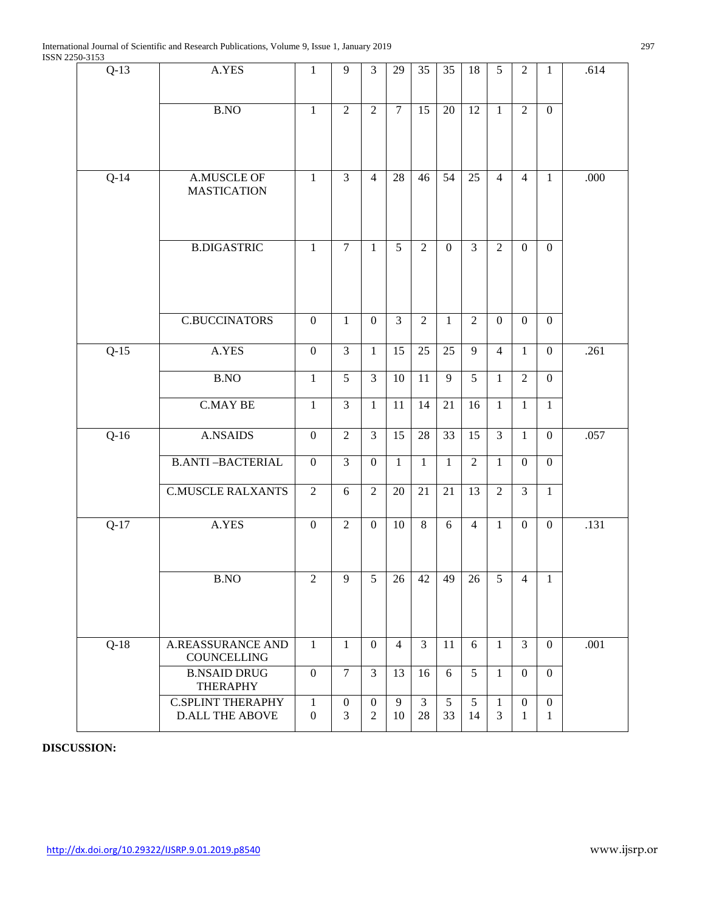| $Q-13$ | A.YES                                              | 1                                | 9                     | 3                                  | 29             | 35                   | 35           | 18                   | 5                 | $\overline{2}$                   | $\mathbf{1}$      | .614 |
|--------|----------------------------------------------------|----------------------------------|-----------------------|------------------------------------|----------------|----------------------|--------------|----------------------|-------------------|----------------------------------|-------------------|------|
|        | B.NO                                               | $\mathbf{1}$                     | 2                     | $\overline{2}$                     | $\overline{7}$ | 15                   | 20           | 12                   | $\mathbf{1}$      | $\overline{2}$                   | $\mathbf{0}$      |      |
| $Q-14$ | A.MUSCLE OF<br><b>MASTICATION</b>                  | $\mathbf{1}$                     | $\overline{3}$        | $\overline{4}$                     | 28             | 46                   | 54           | 25                   | $\overline{4}$    | $\overline{4}$                   | $\mathbf{1}$      | .000 |
|        | <b>B.DIGASTRIC</b>                                 | $\mathbf{1}$                     | $\overline{7}$        | $\mathbf{1}$                       | 5              | $\overline{2}$       | $\mathbf{0}$ | $\overline{3}$       | $\overline{2}$    | $\mathbf{0}$                     | $\mathbf{0}$      |      |
|        | <b>C.BUCCINATORS</b>                               | $\boldsymbol{0}$                 | $\mathbf{1}$          | $\boldsymbol{0}$                   | $\overline{3}$ | $\overline{2}$       | $\mathbf{1}$ | $\overline{2}$       | $\boldsymbol{0}$  | $\boldsymbol{0}$                 | $\overline{0}$    |      |
| $Q-15$ | A.YES                                              | $\mathbf{0}$                     | $\overline{3}$        | $\mathbf{1}$                       | 15             | 25                   | 25           | 9                    | $\overline{4}$    | $\mathbf{1}$                     | $\mathbf{0}$      | .261 |
|        | <b>B.NO</b>                                        | $\mathbf{1}$                     | 5                     | 3                                  | 10             | 11                   | 9            | 5                    | $\mathbf{1}$      | $\overline{2}$                   | $\mathbf{0}$      |      |
|        | <b>C.MAY BE</b>                                    | $\mathbf{1}$                     | 3                     | $\mathbf{1}$                       | 11             | 14                   | 21           | 16                   | $\mathbf{1}$      | $\mathbf{1}$                     | $\mathbf{1}$      |      |
| $Q-16$ | <b>A.NSAIDS</b>                                    | $\mathbf{0}$                     | $\overline{2}$        | 3                                  | 15             | 28                   | 33           | 15                   | 3                 | $\mathbf{1}$                     | $\overline{0}$    | .057 |
|        | <b>B.ANTI-BACTERIAL</b>                            | $\mathbf{0}$                     | $\overline{3}$        | $\boldsymbol{0}$                   | $\mathbf{1}$   | $\mathbf{1}$         | $\mathbf{1}$ | $\overline{2}$       | $\mathbf{1}$      | $\boldsymbol{0}$                 | $\mathbf{0}$      |      |
|        | <b>C.MUSCLE RALXANTS</b>                           | $\overline{2}$                   | 6                     | $\overline{2}$                     | 20             | 21                   | 21           | 13                   | $\overline{2}$    | $\overline{3}$                   | $\mathbf{1}$      |      |
| $Q-17$ | A.YES                                              | $\mathbf{0}$                     | $\overline{2}$        | $\boldsymbol{0}$                   | 10             | 8                    | 6            | $\overline{4}$       | $\mathbf{1}$      | $\overline{0}$                   | $\overline{0}$    | .131 |
|        | B.NO                                               | $\overline{2}$                   | 9                     | $\overline{5}$                     | 26             |                      |              | $42 \mid 49 \mid 26$ | $5\overline{)}$   | $\overline{4}$                   | $\overline{1}$    |      |
| $Q-18$ | <b>A.REASSURANCE AND</b><br>COUNCELLING            | $\mathbf{1}$                     | 1                     | $\mathbf{0}$                       | $\overline{4}$ | $\overline{3}$       | 11           | 6                    | $\mathbf{1}$      | 3                                | $\overline{0}$    | .001 |
|        | <b>B.NSAID DRUG</b><br><b>THERAPHY</b>             | $\boldsymbol{0}$                 | $\overline{7}$        | 3                                  | 13             | 16                   | 6            | 5                    | 1                 | $\overline{0}$                   | $\overline{0}$    |      |
|        | <b>C.SPLINT THERAPHY</b><br><b>D.ALL THE ABOVE</b> | $\mathbf{1}$<br>$\boldsymbol{0}$ | $\boldsymbol{0}$<br>3 | $\boldsymbol{0}$<br>$\overline{2}$ | 9<br>10        | $\mathfrak{Z}$<br>28 | 5<br>33      | 5<br>14              | $\mathbf{1}$<br>3 | $\boldsymbol{0}$<br>$\mathbf{1}$ | $\mathbf{0}$<br>1 |      |

**DISCUSSION:**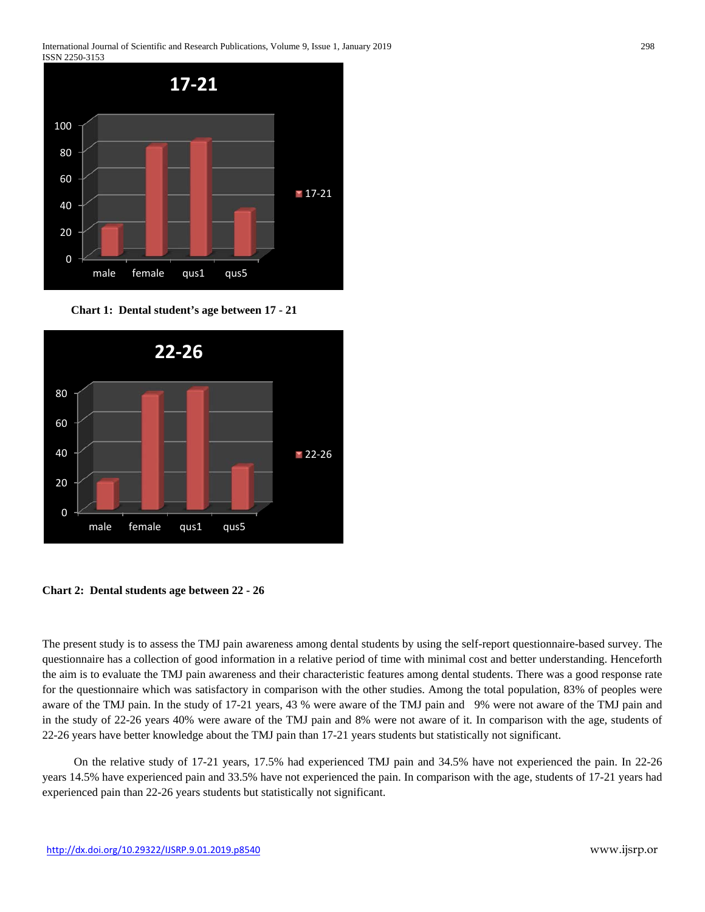

 **Chart 1: Dental student's age between 17 - 21** 



**Chart 2: Dental students age between 22 - 26** 

The present study is to assess the TMJ pain awareness among dental students by using the self-report questionnaire-based survey. The questionnaire has a collection of good information in a relative period of time with minimal cost and better understanding. Henceforth the aim is to evaluate the TMJ pain awareness and their characteristic features among dental students. There was a good response rate for the questionnaire which was satisfactory in comparison with the other studies. Among the total population, 83% of peoples were aware of the TMJ pain. In the study of 17-21 years, 43 % were aware of the TMJ pain and 9% were not aware of the TMJ pain and in the study of 22-26 years 40% were aware of the TMJ pain and 8% were not aware of it. In comparison with the age, students of 22-26 years have better knowledge about the TMJ pain than 17-21 years students but statistically not significant.

 On the relative study of 17-21 years, 17.5% had experienced TMJ pain and 34.5% have not experienced the pain. In 22-26 years 14.5% have experienced pain and 33.5% have not experienced the pain. In comparison with the age, students of 17-21 years had experienced pain than 22-26 years students but statistically not significant.